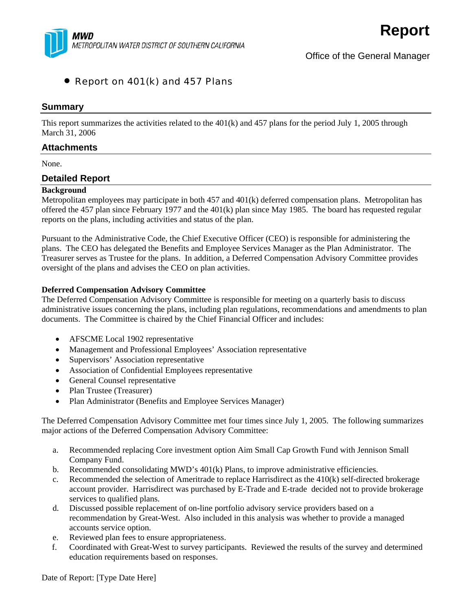

# • Report on 401(k) and 457 Plans

### **Summary**

This report summarizes the activities related to the 401(k) and 457 plans for the period July 1, 2005 through March 31, 2006

## **Attachments**

None.

### **Detailed Report**

#### **Background**

Metropolitan employees may participate in both 457 and 401(k) deferred compensation plans. Metropolitan has offered the 457 plan since February 1977 and the 401(k) plan since May 1985. The board has requested regular reports on the plans, including activities and status of the plan.

Pursuant to the Administrative Code, the Chief Executive Officer (CEO) is responsible for administering the plans. The CEO has delegated the Benefits and Employee Services Manager as the Plan Administrator. The Treasurer serves as Trustee for the plans. In addition, a Deferred Compensation Advisory Committee provides oversight of the plans and advises the CEO on plan activities.

#### **Deferred Compensation Advisory Committee**

The Deferred Compensation Advisory Committee is responsible for meeting on a quarterly basis to discuss administrative issues concerning the plans, including plan regulations, recommendations and amendments to plan documents. The Committee is chaired by the Chief Financial Officer and includes:

- AFSCME Local 1902 representative
- Management and Professional Employees' Association representative
- Supervisors' Association representative
- Association of Confidential Employees representative
- General Counsel representative
- Plan Trustee (Treasurer)
- Plan Administrator (Benefits and Employee Services Manager)

The Deferred Compensation Advisory Committee met four times since July 1, 2005. The following summarizes major actions of the Deferred Compensation Advisory Committee:

- a. Recommended replacing Core investment option Aim Small Cap Growth Fund with Jennison Small Company Fund.
- b. Recommended consolidating  $MWD's 401(k)$  Plans, to improve administrative efficiencies.
- c. Recommended the selection of Ameritrade to replace Harrisdirect as the 410(k) self-directed brokerage account provider. Harrisdirect was purchased by E-Trade and E-trade decided not to provide brokerage services to qualified plans.
- d. Discussed possible replacement of on-line portfolio advisory service providers based on a recommendation by Great-West. Also included in this analysis was whether to provide a managed accounts service option.
- e. Reviewed plan fees to ensure appropriateness.
- f. Coordinated with Great-West to survey participants. Reviewed the results of the survey and determined education requirements based on responses.

Date of Report: [Type Date Here]